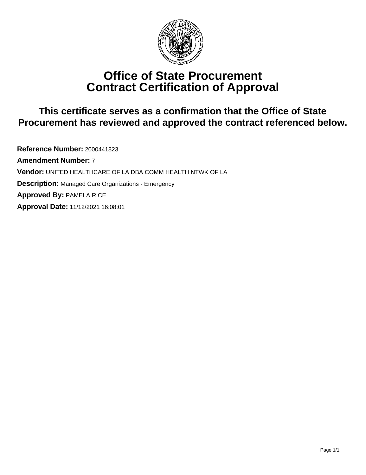

# **Office of State Procurement Contract Certification of Approval**

## **This certificate serves as a confirmation that the Office of State Procurement has reviewed and approved the contract referenced below.**

**Reference Number:** 2000441823 **Amendment Number:** 7 **Vendor:** UNITED HEALTHCARE OF LA DBA COMM HEALTH NTWK OF LA **Description:** Managed Care Organizations - Emergency **Approved By:** PAMELA RICE **Approval Date:** 11/12/2021 16:08:01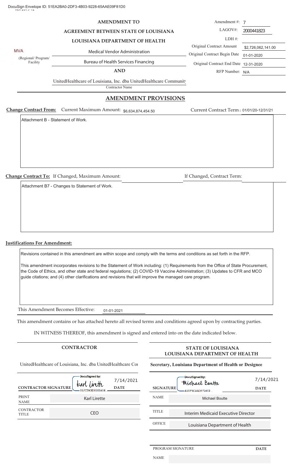#### **AMENDMENT TO**

**AGREEMENT BETWEEN STATE OF LOUISIANA**

#### **LOUISIANA DEPARTMENT OF HEALTH**

MVA MEDICAL MODEL MEDICAL Vendor Administration

(Regional/Program/ Facility

Bureau of Health Services Financing

**AND**

UnitedHealthcare of Louisiana, Inc. dba UnitedHealthcare Community

Contractor Name

#### **AMENDMENT PROVISIONS**

**Change Contract From:** Current Maximum Amount: \$6,634,874,454.50

Attachment B - Statement of Work.

**Change Contract To:** If Changed, Maximum Amount: If Changed, Contract Term:

Attachment B7 - Changes to Statement of Work.

**Justifications For Amendment:**

Revisions contained in this amendment are within scope and comply with the terms and conditions as set forth in the RFP.

This amendment incorporates revisions to the Statement of Work including: (1) Requirements from the Office of State Procurement, the Code of Ethics, and other state and federal regulations; (2) COVID-19 Vaccine Administration; (3) Updates to CFR and MCO guide citations; and (4) other clarifications and revisions that will improve the managed care program.

This Amendment Becomes Effective: 01-01-2021

This amendment contains or has attached hereto all revised terms and conditions agreed upon by contracting parties.

IN WITNESS THEREOF, this amendment is signed and entered into on the date indicated below.

UnitedHealthcare of Louisiana, Inc. dba UnitedHealthcare Cor

| <b>CONTRACTOR SIGNATURE</b>       | DocuSigned by:<br>tearl linette<br>-0B7C39DD6B6B404 | 7/14/2021<br><b>DATE</b> |
|-----------------------------------|-----------------------------------------------------|--------------------------|
| <b>PRINT</b><br><b>NAME</b>       | <b>Karl Lirette</b>                                 |                          |
| <b>CONTRACTOR</b><br><b>TITLE</b> | CFO                                                 |                          |

#### **CONTRACTOR STATE OF LOUISIANA LOUISIANA DEPARTMENT OF HEALTH**

#### **Secretary, Louisiana Department of Health or Designee**

| <b>SIGNATURE</b> | DocuSigned by:<br>Michael Boutte<br>ASEFSCAAD1724E2 | 7/14/2021<br><b>DATE</b> |
|------------------|-----------------------------------------------------|--------------------------|
| <b>NAME</b>      | Michael Boutte                                      |                          |
| <b>TITLE</b>     | Interim Medicaid Executive Director                 |                          |
| <b>OFFICE</b>    | Louisiana Department of Health                      |                          |

#### PROGRAM SIGNATURE **DATE**

NAME

Current Contract Term:

Original Contract Begin Date 01-01-2020

Original Contract End Date 12-31-2020

RFP Number: N/A

 $I \Delta G\Omega V \#$ Amendment #: 7 2000441022

| 122 A SU V 77 A .        | ZUUU44 1623        |
|--------------------------|--------------------|
| LDH #:                   |                    |
| Original Contract Amount | \$2,726,062,141.00 |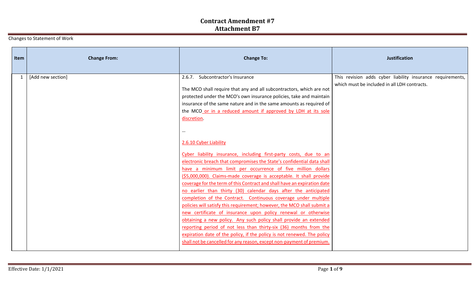Changes to Statement of Work

| Item | <b>Change From:</b> | <b>Change To:</b>                                                                                                                                                                                                                                                                                                                                                                                                                                                                                                                                                                                                                                                                                                                                                                                                                                                                                                                                                                                                                                                                                                                                                                                                                                                                                                | <b>Justification</b>                                                                                       |
|------|---------------------|------------------------------------------------------------------------------------------------------------------------------------------------------------------------------------------------------------------------------------------------------------------------------------------------------------------------------------------------------------------------------------------------------------------------------------------------------------------------------------------------------------------------------------------------------------------------------------------------------------------------------------------------------------------------------------------------------------------------------------------------------------------------------------------------------------------------------------------------------------------------------------------------------------------------------------------------------------------------------------------------------------------------------------------------------------------------------------------------------------------------------------------------------------------------------------------------------------------------------------------------------------------------------------------------------------------|------------------------------------------------------------------------------------------------------------|
|      | [Add new section]   | 2.6.7. Subcontractor's Insurance<br>The MCO shall require that any and all subcontractors, which are not<br>protected under the MCO's own insurance policies, take and maintain<br>insurance of the same nature and in the same amounts as required of<br>the MCO or in a reduced amount if approved by LDH at its sole<br>discretion.<br>2.6.10 Cyber Liability<br>Cyber liability insurance, including first-party costs, due to an<br>electronic breach that compromises the State's confidential data shall<br>have a minimum limit per occurrence of five million dollars<br>(\$5,000,000). Claims-made coverage is acceptable. It shall provide<br>coverage for the term of this Contract and shall have an expiration date<br>no earlier than thirty (30) calendar days after the anticipated<br>completion of the Contract. Continuous coverage under multiple<br>policies will satisfy this requirement; however, the MCO shall submit a<br>new certificate of insurance upon policy renewal or otherwise<br>obtaining a new policy. Any such policy shall provide an extended<br>reporting period of not less than thirty-six (36) months from the<br>expiration date of the policy, if the policy is not renewed. The policy<br>shall not be cancelled for any reason, except non-payment of premium. | This revision adds cyber liability insurance requirements,<br>which must be included in all LDH contracts. |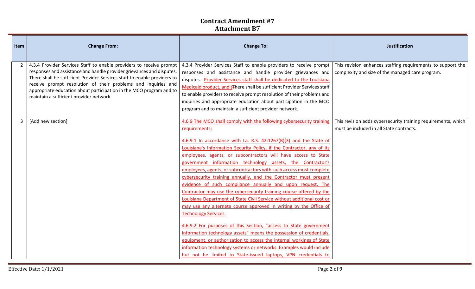| Item           | <b>Change From:</b>                                                                                                                                                                                                                                                                                                                                                                                         | <b>Change To:</b>                                                                                                                                                                                                                                                                                                                                                                                                                                                                                                                                                                                                                                                                                                                                                                                                                                                                                                                                                                                                                                                                                                                                                                               | <b>Justification</b>                                                                                            |
|----------------|-------------------------------------------------------------------------------------------------------------------------------------------------------------------------------------------------------------------------------------------------------------------------------------------------------------------------------------------------------------------------------------------------------------|-------------------------------------------------------------------------------------------------------------------------------------------------------------------------------------------------------------------------------------------------------------------------------------------------------------------------------------------------------------------------------------------------------------------------------------------------------------------------------------------------------------------------------------------------------------------------------------------------------------------------------------------------------------------------------------------------------------------------------------------------------------------------------------------------------------------------------------------------------------------------------------------------------------------------------------------------------------------------------------------------------------------------------------------------------------------------------------------------------------------------------------------------------------------------------------------------|-----------------------------------------------------------------------------------------------------------------|
| $\overline{2}$ | 4.3.4 Provider Services Staff to enable providers to receive prompt<br>responses and assistance and handle provider grievances and disputes.<br>There shall be sufficient Provider Services staff to enable providers to<br>receive prompt resolution of their problems and inquiries and<br>appropriate education about participation in the MCO program and to<br>maintain a sufficient provider network. | 4.3.4 Provider Services Staff to enable providers to receive prompt<br>responses and assistance and handle provider grievances and<br>disputes. Provider Services staff shall be dedicated to the Louisiana<br>Medicaid product, and t∓here shall be sufficient Provider Services staff<br>to enable providers to receive prompt resolution of their problems and<br>inquiries and appropriate education about participation in the MCO<br>program and to maintain a sufficient provider network.                                                                                                                                                                                                                                                                                                                                                                                                                                                                                                                                                                                                                                                                                               | This revision enhances staffing requirements to support the<br>complexity and size of the managed care program. |
|                | [Add new section]                                                                                                                                                                                                                                                                                                                                                                                           | 4.6.9 The MCO shall comply with the following cybersecurity training<br>requirements:<br>4.6.9.1 In accordance with La. R.S. 42:1267(B)(3) and the State of<br>Louisiana's Information Security Policy, if the Contractor, any of its<br>employees, agents, or subcontractors will have access to State<br>government information technology assets, the Contractor's<br>employees, agents, or subcontractors with such access must complete<br>cybersecurity training annually, and the Contractor must present<br>evidence of such compliance annually and upon request. The<br>Contractor may use the cybersecurity training course offered by the<br>Louisiana Department of State Civil Service without additional cost or<br>may use any alternate course approved in writing by the Office of<br><b>Technology Services.</b><br>4.6.9.2 For purposes of this Section, "access to State government<br>information technology assets" means the possession of credentials,<br>equipment, or authorization to access the internal workings of State<br>information technology systems or networks. Examples would include<br>but not be limited to State-issued laptops, VPN credentials to | This revision adds cybersecurity training requirements, which<br>must be included in all State contracts.       |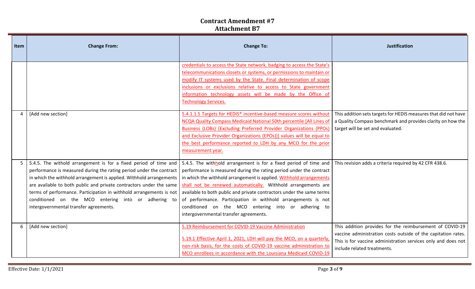| Item | <b>Change From:</b>                                                                                                                                                                                                                                                                                                                                                                    | <b>Change To:</b>                                                                                                                                                                                                                                                                                                                                                                                                                                                                                                                                                                               | <b>Justification</b>                                                                                                                                                                                                      |
|------|----------------------------------------------------------------------------------------------------------------------------------------------------------------------------------------------------------------------------------------------------------------------------------------------------------------------------------------------------------------------------------------|-------------------------------------------------------------------------------------------------------------------------------------------------------------------------------------------------------------------------------------------------------------------------------------------------------------------------------------------------------------------------------------------------------------------------------------------------------------------------------------------------------------------------------------------------------------------------------------------------|---------------------------------------------------------------------------------------------------------------------------------------------------------------------------------------------------------------------------|
|      |                                                                                                                                                                                                                                                                                                                                                                                        | credentials to access the State network, badging to access the State's<br>telecommunications closets or systems, or permissions to maintain or<br>modify IT systems used by the State. Final determination of scope<br>inclusions or exclusions relative to access to State government<br>information technology assets will be made by the Office of<br><b>Technology Services.</b>                                                                                                                                                                                                            |                                                                                                                                                                                                                           |
|      | [Add new section]                                                                                                                                                                                                                                                                                                                                                                      | 5.4.1.1.5 Targets for HEDIS® incentive-based measure scores without<br>NCQA Quality Compass Medicaid National 50th percentile [All Lines of<br>Business (LOBs) (Excluding Preferred Provider Organizations (PPOs)<br>and Exclusive Provider Organizations (EPOs))] values will be equal to<br>the best performance reported to LDH by any MCO for the prior<br>measurement year.                                                                                                                                                                                                                | This addition sets targets for HEDIS measures that did not have<br>a Quality Compass benchmark and provides clarity on how the<br>target will be set and evaluated.                                                       |
| 5    | 5.4.5. The withold arrangement is for a fixed period of time and<br>performance is measured during the rating period under the contract<br>in which the withhold arrangement is applied. Withhold arrangements<br>are available to both public and private contractors under the same<br>conditioned on the MCO entering into or adhering to<br>intergovernmental transfer agreements. | 5.4.5. The withhold arrangement is for a fixed period of time and<br>performance is measured during the rating period under the contract<br>in which the withhold arrangement is applied. Withhold arrangements<br>shall not be renewed automatically. Withhold arrangements are<br>terms of performance. Participation in withhold arrangements is not available to both public and private contractors under the same terms<br>of performance. Participation in withhold arrangements is not<br>conditioned on the MCO entering into or adhering to<br>intergovernmental transfer agreements. | This revision adds a criteria required by 42 CFR 438.6.                                                                                                                                                                   |
|      | [Add new section]                                                                                                                                                                                                                                                                                                                                                                      | 5.19 Reimbursement for COVID-19 Vaccine Administration<br>5.19.1 Effective April 1, 2021, LDH will pay the MCO, on a quarterly,<br>non-risk basis, for the costs of COVID-19 vaccine administration to<br>MCO enrollees in accordance with the Louisiana Medicaid COVID-19                                                                                                                                                                                                                                                                                                                      | This addition provides for the reimbursement of COVID-19<br>vaccine administration costs outside of the capitation rates.<br>This is for vaccine administration services only and does not<br>include related treatments. |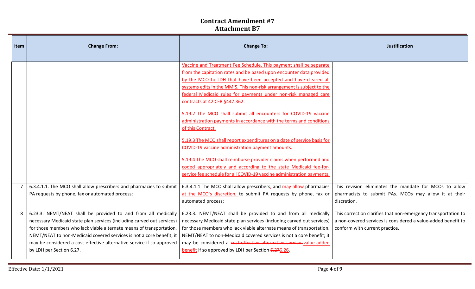| Item | <b>Change From:</b>                                                                                                                                                                                                                                                                                                                                                                          | <b>Change To:</b>                                                                                                                                                                                                                                                                                                                                                                                                                                                                                                                                                                                                                                                                                                                                                                                                                                                                                          | <b>Justification</b>                                                                                                                                              |
|------|----------------------------------------------------------------------------------------------------------------------------------------------------------------------------------------------------------------------------------------------------------------------------------------------------------------------------------------------------------------------------------------------|------------------------------------------------------------------------------------------------------------------------------------------------------------------------------------------------------------------------------------------------------------------------------------------------------------------------------------------------------------------------------------------------------------------------------------------------------------------------------------------------------------------------------------------------------------------------------------------------------------------------------------------------------------------------------------------------------------------------------------------------------------------------------------------------------------------------------------------------------------------------------------------------------------|-------------------------------------------------------------------------------------------------------------------------------------------------------------------|
|      |                                                                                                                                                                                                                                                                                                                                                                                              | Vaccine and Treatment Fee Schedule. This payment shall be separate<br>from the capitation rates and be based upon encounter data provided<br>by the MCO to LDH that have been accepted and have cleared all<br>systems edits in the MMIS. This non-risk arrangement is subject to the<br>federal Medicaid rules for payments under non-risk managed care<br>contracts at 42 CFR §447.362.<br>5.19.2 The MCO shall submit all encounters for COVID-19 vaccine<br>administration payments in accordance with the terms and conditions<br>of this Contract.<br>5.19.3 The MCO shall report expenditures on a date of service basis for<br>COVID-19 vaccine administration payment amounts.<br>5.19.4 The MCO shall reimburse provider claims when performed and<br>coded appropriately and according to the state Medicaid fee-for-<br>service fee schedule for all COVID-19 vaccine administration payments. |                                                                                                                                                                   |
|      | 6.3.4.1.1. The MCO shall allow prescribers and pharmacies to submit<br>PA requests by phone, fax or automated process;                                                                                                                                                                                                                                                                       | 6.3.4.1.1 The MCO shall allow prescribers, and may allow pharmacies<br>at the MCO's discretion, to submit PA requests by phone, fax or<br>automated process;                                                                                                                                                                                                                                                                                                                                                                                                                                                                                                                                                                                                                                                                                                                                               | This revision eliminates the mandate for MCOs to allow<br>pharmacists to submit PAs. MCOs may allow it at their<br>discretion.                                    |
|      | 6.23.3. NEMT/NEAT shall be provided to and from all medically<br>necessary Medicaid state plan services (including carved out services)<br>for those members who lack viable alternate means of transportation.<br>NEMT/NEAT to non-Medicaid covered services is not a core benefit; it<br>may be considered a cost-effective alternative service if so approved<br>by LDH per Section 6.27. | 6.23.3. NEMT/NEAT shall be provided to and from all medically<br>necessary Medicaid state plan services (including carved out services)<br>for those members who lack viable alternate means of transportation.<br>NEMT/NEAT to non-Medicaid covered services is not a core benefit; it<br>may be considered a cost-effective alternative service value-added<br>benefit if so approved by LDH per Section 6.276.26.                                                                                                                                                                                                                                                                                                                                                                                                                                                                                       | This correction clarifies that non-emergency transportation to<br>a non-covered services is considered a value-added benefit to<br>conform with current practice. |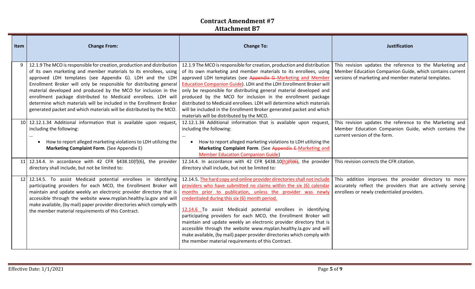| Item | <b>Change From:</b>                                                                                                                                                                                                                                                                                                                                                                                                                                                                                                                                                 | <b>Change To:</b>                                                                                                                                                                                                                                                                                                                                                                                                                                                                                                                                                                                                                                                               | <b>Justification</b>                                                                                                                                                         |
|------|---------------------------------------------------------------------------------------------------------------------------------------------------------------------------------------------------------------------------------------------------------------------------------------------------------------------------------------------------------------------------------------------------------------------------------------------------------------------------------------------------------------------------------------------------------------------|---------------------------------------------------------------------------------------------------------------------------------------------------------------------------------------------------------------------------------------------------------------------------------------------------------------------------------------------------------------------------------------------------------------------------------------------------------------------------------------------------------------------------------------------------------------------------------------------------------------------------------------------------------------------------------|------------------------------------------------------------------------------------------------------------------------------------------------------------------------------|
| 9    | 12.1.9 The MCO is responsible for creation, production and distribution<br>of its own marketing and member materials to its enrollees, using<br>approved LDH templates (see Appendix G). LDH and the LDH<br>Enrollment Broker will only be responsible for distributing general<br>material developed and produced by the MCO for inclusion in the<br>enrollment package distributed to Medicaid enrollees. LDH will<br>determine which materials will be included in the Enrollment Broker<br>generated packet and which materials will be distributed by the MCO. | 12.1.9 The MCO is responsible for creation, production and distribution<br>of its own marketing and member materials to its enrollees, using<br>approved LDH templates (see Appendix G-Marketing and Member<br>Education Companion Guide). LDH and the LDH Enrollment Broker will<br>only be responsible for distributing general material developed and<br>produced by the MCO for inclusion in the enrollment package<br>distributed to Medicaid enrollees. LDH will determine which materials<br>will be included in the Enrollment Broker generated packet and which<br>materials will be distributed by the MCO.                                                           | This revision updates the reference to the Marketing and<br>Member Education Companion Guide, which contains current<br>versions of marketing and member material templates. |
|      | 10 12.12.1.34 Additional information that is available upon request,<br>including the following:<br>$\cdots$<br>How to report alleged marketing violations to LDH utilizing the<br>$\bullet$<br>Marketing Complaint Form. (See Appendix E)                                                                                                                                                                                                                                                                                                                          | 12.12.1.34 Additional information that is available upon request,<br>including the following:<br>How to report alleged marketing violations to LDH utilizing the<br>$\bullet$<br>Marketing Complaint Form. (See Appendix E-Marketing and<br><b>Member Education Companion Guide)</b>                                                                                                                                                                                                                                                                                                                                                                                            | This revision updates the reference to the Marketing and<br>Member Education Companion Guide, which contains the<br>current version of the form.                             |
|      | 11 12.14.4. In accordance with 42 CFR $§$ 438.10(f)(6), the provider<br>directory shall include, but not be limited to:                                                                                                                                                                                                                                                                                                                                                                                                                                             | 12.14.4. In accordance with 42 CFR $§438.10(h)(f)(6)$ , the provider<br>directory shall include, but not be limited to:                                                                                                                                                                                                                                                                                                                                                                                                                                                                                                                                                         | This revision corrects the CFR citation.                                                                                                                                     |
|      | 12 12.14.5. To assist Medicaid potential enrollees in identifying<br>participating providers for each MCO, the Enrollment Broker will<br>maintain and update weekly an electronic provider directory that is<br>accessible through the website www.myplan.healthy.la.gov and will<br>make available, (by mail) paper provider directories which comply with<br>the member material requirements of this Contract.                                                                                                                                                   | 12.14.5. The hard copy and online provider directories shall not include<br>providers who have submitted no claims within the six (6) calendar<br>months prior to publication, unless the provider was newly<br>credentialed during this six (6) month period.<br>12.14.6 To assist Medicaid potential enrollees in identifying<br>participating providers for each MCO, the Enrollment Broker will<br>maintain and update weekly an electronic provider directory that is<br>accessible through the website www.myplan.healthy.la.gov and will<br>make available, (by mail) paper provider directories which comply with<br>the member material requirements of this Contract. | This addition improves the provider directory to more<br>accurately reflect the providers that are actively serving<br>enrollees or newly credentialed providers.            |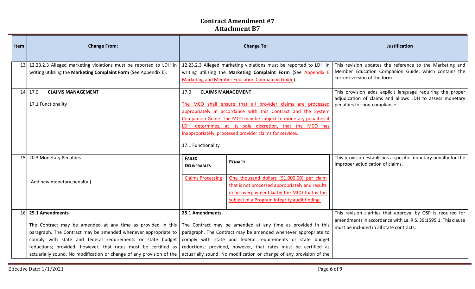| Item | <b>Change From:</b>                                                                                                                                                                                                                                                                                                                                                                                                                                                                            | <b>Change To:</b>                                                |                                                                                                                                                                                                                                                                                                                                                      | <b>Justification</b>                                                                                                                                                      |
|------|------------------------------------------------------------------------------------------------------------------------------------------------------------------------------------------------------------------------------------------------------------------------------------------------------------------------------------------------------------------------------------------------------------------------------------------------------------------------------------------------|------------------------------------------------------------------|------------------------------------------------------------------------------------------------------------------------------------------------------------------------------------------------------------------------------------------------------------------------------------------------------------------------------------------------------|---------------------------------------------------------------------------------------------------------------------------------------------------------------------------|
|      | 13 12.23.2.3 Alleged marketing violations must be reported to LDH in<br>writing utilizing the Marketing Complaint Form (See Appendix E).                                                                                                                                                                                                                                                                                                                                                       |                                                                  | 12.23.2.3 Alleged marketing violations must be reported to LDH in<br>writing utilizing the Marketing Complaint Form (See Appendix E<br><b>Marketing and Member Education Companion Guide).</b>                                                                                                                                                       | This revision updates the reference to the Marketing and<br>Member Education Companion Guide, which contains the<br>current version of the form.                          |
|      | <b>CLAIMS MANAGEMENT</b><br>$14$ 17.0<br>17.1 Functionality                                                                                                                                                                                                                                                                                                                                                                                                                                    | 17.0<br>17.1 Functionality                                       | <b>CLAIMS MANAGEMENT</b><br>The MCO shall ensure that all provider claims are processed<br>appropriately in accordance with this Contract and the System<br>Companion Guide. The MCO may be subject to monetary penalties if<br>LDH determines, at its sole discretion, that the MCO has<br>inappropriately, processed provider claims for services. | This provision adds explicit language requiring the proper<br>adjudication of claims and allows LDH to assess monetary<br>penalties for non-compliance.                   |
|      | 15 20.3 Monetary Penalties<br><br>[Add new monetary penalty.]                                                                                                                                                                                                                                                                                                                                                                                                                                  | <b>FAILED</b><br><b>DELIVERABLES</b><br><b>Claims Processing</b> | <b>PENALTY</b><br>One thousand dollars (\$1,000.00) per claim<br>that is not processed appropriately and results<br>in an overpayment to by the MCO that is the<br>subject of a Program Integrity audit finding.                                                                                                                                     | This provision establishes a specific monetary penalty for the<br>improper adjudication of claims.                                                                        |
|      | 16 25.1 Amendments<br>The Contract may be amended at any time as provided in this The Contract may be amended at any time as provided in this<br>paragraph. The Contract may be amended whenever appropriate to<br>comply with state and federal requirements or state budget<br>reductions; provided, however, that rates must be certified as<br>actuarially sound. No modification or change of any provision of the   actuarially sound. No modification or change of any provision of the | 25.1 Amendments                                                  | paragraph. The Contract may be amended whenever appropriate to<br>comply with state and federal requirements or state budget<br>reductions; provided, however, that rates must be certified as                                                                                                                                                       | This revision clarifies that approval by OSP is required for<br>amendments in accordance with La. R.S. 39:1595.1. This clause<br>must be included in all state contracts. |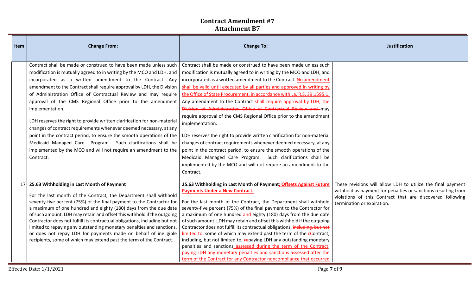| Item | <b>Change From:</b>                                                                                                                                                                                                                                                                                                                                                                                                                                                                                                                                                                                                                                                                                                                                                                                         | <b>Change To:</b>                                                                                                                                                                                                                                                                                                                                                                                                                                                                                                                                                                                                                                                                                                                                                                                                                                                                                                                                                              | <b>Justification</b>                                                                                                                                                                                                    |
|------|-------------------------------------------------------------------------------------------------------------------------------------------------------------------------------------------------------------------------------------------------------------------------------------------------------------------------------------------------------------------------------------------------------------------------------------------------------------------------------------------------------------------------------------------------------------------------------------------------------------------------------------------------------------------------------------------------------------------------------------------------------------------------------------------------------------|--------------------------------------------------------------------------------------------------------------------------------------------------------------------------------------------------------------------------------------------------------------------------------------------------------------------------------------------------------------------------------------------------------------------------------------------------------------------------------------------------------------------------------------------------------------------------------------------------------------------------------------------------------------------------------------------------------------------------------------------------------------------------------------------------------------------------------------------------------------------------------------------------------------------------------------------------------------------------------|-------------------------------------------------------------------------------------------------------------------------------------------------------------------------------------------------------------------------|
|      | Contract shall be made or construed to have been made unless such<br>modification is mutually agreed to in writing by the MCO and LDH, and<br>incorporated as a written amendment to the Contract. Any<br>amendment to the Contract shall require approval by LDH, the Division<br>of Administration Office of Contractual Review and may require<br>approval of the CMS Regional Office prior to the amendment<br>implementation.<br>LDH reserves the right to provide written clarification for non-material<br>changes of contract requirements whenever deemed necessary, at any<br>point in the contract period, to ensure the smooth operations of the<br>Medicaid Managed Care Program. Such clarifications shall be<br>implemented by the MCO and will not require an amendment to the<br>Contract. | Contract shall be made or construed to have been made unless such<br>modification is mutually agreed to in writing by the MCO and LDH, and<br>incorporated as a written amendment to the Contract. No amendment<br>shall be valid until executed by all parties and approved in writing by<br>the Office of State Procurement, in accordance with La. R.S. 39:1595.1.<br>Any amendment to the Contract shall require approval by LDH, the<br>Division of Administration Office of Contractual Review and may<br>require approval of the CMS Regional Office prior to the amendment<br>implementation.<br>LDH reserves the right to provide written clarification for non-material<br>changes of contract requirements whenever deemed necessary, at any<br>point in the contract period, to ensure the smooth operations of the<br>Medicaid Managed Care Program. Such clarifications shall be<br>implemented by the MCO and will not require an amendment to the<br>Contract. |                                                                                                                                                                                                                         |
| 17   | 25.63 Withholding in Last Month of Payment<br>For the last month of the Contract, the Department shall withhold<br>seventy-five percent (75%) of the final payment to the Contractor for<br>a maximum of one hundred and eighty (180) days from the due date<br>of such amount. LDH may retain and offset this withhold if the outgoing<br>Contractor does not fulfill its contractual obligations, including but not<br>limited to repaying any outstanding monetary penalties and sanctions,<br>or does not repay LDH for payments made on behalf of ineligible<br>recipients, some of which may extend past the term of the Contract.                                                                                                                                                                    | 25.63 Withholding in Last Month of Payment; Offsets Against Future<br><b>Payments Under a New Contract.</b><br>For the last month of the Contract, the Department shall withhold<br>seventy-five percent (75%) of the final payment to the Contractor for<br>a maximum of one hundred and eighty (180) days from the due date<br>of such amount. LDH may retain and offset this withhold if the outgoing<br>Contractor does not fulfill its contractual obligations, including, but not<br>$limited to,$ some of which may extend past the term of the $\epsilon$ Contract,<br>including, but not limited to, repaying LDH any outstanding monetary<br>penalties and sanctions assessed during the term of the Contract,<br>paying LDH any monetary penalties and sanctions assessed after the<br>term of the Contract for any Contractor noncompliance that occurred                                                                                                          | These revisions will allow LDH to utilize the final payment<br>withhold as payment for penalties or sanctions resulting from<br>violations of this Contract that are discovered following<br>termination or expiration. |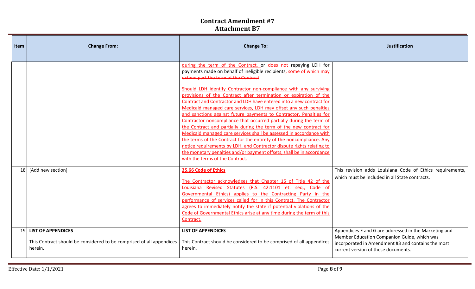| Item | <b>Change From:</b>                                                                                      | <b>Change To:</b>                                                                                                                                                                                                                                                                                                                                                                                                                                                                                                                                                                                                                                                                                                                                                                                                                                                                                                                                                                                                          | <b>Justification</b>                                                                                                                                                                              |
|------|----------------------------------------------------------------------------------------------------------|----------------------------------------------------------------------------------------------------------------------------------------------------------------------------------------------------------------------------------------------------------------------------------------------------------------------------------------------------------------------------------------------------------------------------------------------------------------------------------------------------------------------------------------------------------------------------------------------------------------------------------------------------------------------------------------------------------------------------------------------------------------------------------------------------------------------------------------------------------------------------------------------------------------------------------------------------------------------------------------------------------------------------|---------------------------------------------------------------------------------------------------------------------------------------------------------------------------------------------------|
|      |                                                                                                          | during the term of the Contract, or does not repaying LDH for<br>payments made on behalf of ineligible recipients, some of which may<br>extend past the term of the Contract.<br>Should LDH identify Contractor non-compliance with any surviving<br>provisions of the Contract after termination or expiration of the<br>Contract and Contractor and LDH have entered into a new contract for<br>Medicaid managed care services, LDH may offset any such penalties<br>and sanctions against future payments to Contractor. Penalties for<br>Contractor noncompliance that occurred partially during the term of<br>the Contract and partially during the term of the new contract for<br>Medicaid managed care services shall be assessed in accordance with<br>the terms of the Contract for the entirety of the noncompliance. Any<br>notice requirements by LDH, and Contractor dispute rights relating to<br>the monetary penalties and/or payment offsets, shall be in accordance<br>with the terms of the Contract. |                                                                                                                                                                                                   |
|      | 18 [Add new section]                                                                                     | 25.66 Code of Ethics<br>The Contractor acknowledges that Chapter 15 of Title 42 of the<br>Louisiana Revised Statutes (R.S. 42:1101 et. seq., Code of<br>Governmental Ethics) applies to the Contracting Party in the<br>performance of services called for in this Contract. The Contractor<br>agrees to immediately notify the state if potential violations of the<br>Code of Governmental Ethics arise at any time during the term of this<br>Contract.                                                                                                                                                                                                                                                                                                                                                                                                                                                                                                                                                                 | This revision adds Louisiana Code of Ethics requirements,<br>which must be included in all State contracts.                                                                                       |
|      | 19 LIST OF APPENDICES<br>This Contract should be considered to be comprised of all appendices<br>herein. | <b>LIST OF APPENDICES</b><br>This Contract should be considered to be comprised of all appendices<br>herein.                                                                                                                                                                                                                                                                                                                                                                                                                                                                                                                                                                                                                                                                                                                                                                                                                                                                                                               | Appendices E and G are addressed in the Marketing and<br>Member Education Companion Guide, which was<br>incorporated in Amendment #3 and contains the most<br>current version of these documents. |